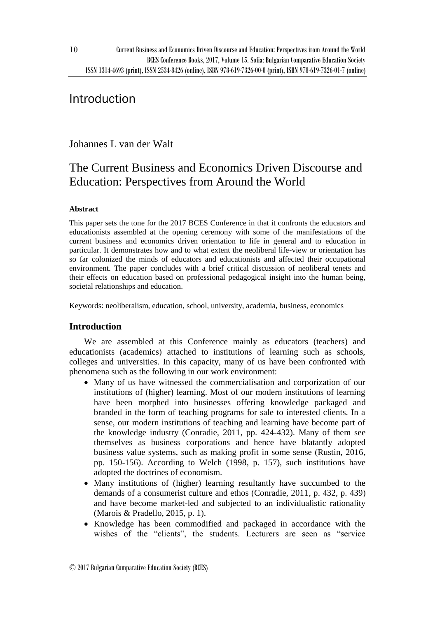## Introduction

10

Johannes L van der Walt

# The Current Business and Economics Driven Discourse and Education: Perspectives from Around the World

## **Abstract**

This paper sets the tone for the 2017 BCES Conference in that it confronts the educators and educationists assembled at the opening ceremony with some of the manifestations of the current business and economics driven orientation to life in general and to education in particular. It demonstrates how and to what extent the neoliberal life-view or orientation has so far colonized the minds of educators and educationists and affected their occupational environment. The paper concludes with a brief critical discussion of neoliberal tenets and their effects on education based on professional pedagogical insight into the human being, societal relationships and education.

Keywords: neoliberalism, education, school, university, academia, business, economics

## **Introduction**

We are assembled at this Conference mainly as educators (teachers) and educationists (academics) attached to institutions of learning such as schools, colleges and universities. In this capacity, many of us have been confronted with phenomena such as the following in our work environment:

- Many of us have witnessed the commercialisation and corporization of our institutions of (higher) learning. Most of our modern institutions of learning have been morphed into businesses offering knowledge packaged and branded in the form of teaching programs for sale to interested clients. In a sense, our modern institutions of teaching and learning have become part of the knowledge industry (Conradie, 2011, pp. 424-432). Many of them see themselves as business corporations and hence have blatantly adopted business value systems, such as making profit in some sense (Rustin, 2016, pp. 150-156). According to Welch (1998, p. 157), such institutions have adopted the doctrines of economism.
- Many institutions of (higher) learning resultantly have succumbed to the demands of a consumerist culture and ethos (Conradie, 2011, p. 432, p. 439) and have become market-led and subjected to an individualistic rationality (Marois & Pradello, 2015, p. 1).
- Knowledge has been commodified and packaged in accordance with the wishes of the "clients", the students. Lecturers are seen as "service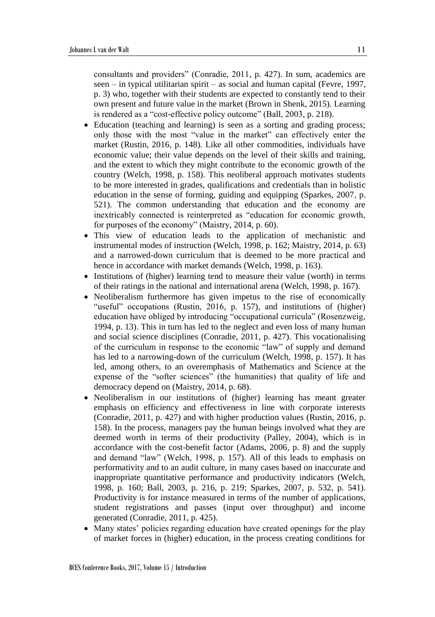consultants and providers" (Conradie, 2011, p. 427). In sum, academics are seen – in typical utilitarian spirit – as social and human capital (Fevre, 1997, p. 3) who, together with their students are expected to constantly tend to their own present and future value in the market (Brown in Shenk, 2015). Learning is rendered as a "cost-effective policy outcome" (Ball, 2003, p. 218).

- Education (teaching and learning) is seen as a sorting and grading process; only those with the most "value in the market" can effectively enter the market (Rustin, 2016, p. 148). Like all other commodities, individuals have economic value; their value depends on the level of their skills and training, and the extent to which they might contribute to the economic growth of the country (Welch, 1998, p. 158). This neoliberal approach motivates students to be more interested in grades, qualifications and credentials than in holistic education in the sense of forming, guiding and equipping (Sparkes, 2007, p. 521). The common understanding that education and the economy are inextricably connected is reinterpreted as "education for economic growth, for purposes of the economy" (Maistry, 2014, p. 60).
- This view of education leads to the application of mechanistic and instrumental modes of instruction (Welch, 1998, p. 162; Maistry, 2014, p. 63) and a narrowed-down curriculum that is deemed to be more practical and hence in accordance with market demands (Welch, 1998, p. 163).
- Institutions of (higher) learning tend to measure their value (worth) in terms of their ratings in the national and international arena (Welch, 1998, p. 167).
- Neoliberalism furthermore has given impetus to the rise of economically "useful" occupations (Rustin, 2016, p. 157), and institutions of (higher) education have obliged by introducing "occupational curricula" (Rosenzweig, 1994, p. 13). This in turn has led to the neglect and even loss of many human and social science disciplines (Conradie, 2011, p. 427). This vocationalising of the curriculum in response to the economic "law" of supply and demand has led to a narrowing-down of the curriculum (Welch, 1998, p. 157). It has led, among others, to an overemphasis of Mathematics and Science at the expense of the "softer sciences" (the humanities) that quality of life and democracy depend on (Maistry, 2014, p. 68).
- Neoliberalism in our institutions of (higher) learning has meant greater emphasis on efficiency and effectiveness in line with corporate interests (Conradie, 2011, p. 427) and with higher production values (Rustin, 2016, p. 158). In the process, managers pay the human beings involved what they are deemed worth in terms of their productivity (Palley, 2004), which is in accordance with the cost-benefit factor (Adams, 2006, p. 8) and the supply and demand "law" (Welch, 1998, p. 157). All of this leads to emphasis on performativity and to an audit culture, in many cases based on inaccurate and inappropriate quantitative performance and productivity indicators (Welch, 1998, p. 160; Ball, 2003, p. 216, p. 219; Sparkes, 2007, p. 532, p. 541). Productivity is for instance measured in terms of the number of applications, student registrations and passes (input over throughput) and income generated (Conradie, 2011, p. 425).
- Many states' policies regarding education have created openings for the play of market forces in (higher) education, in the process creating conditions for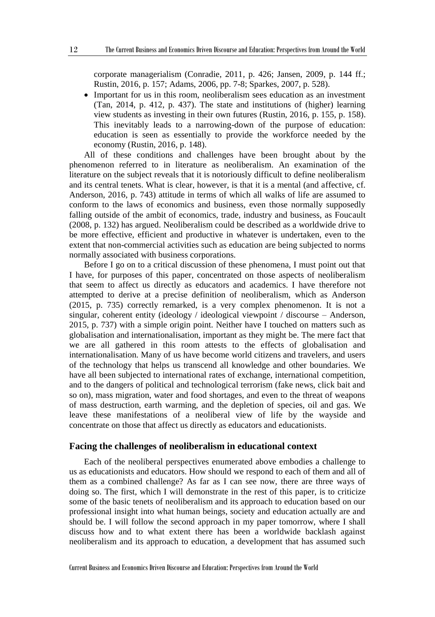corporate managerialism (Conradie, 2011, p. 426; Jansen, 2009, p. 144 ff.; Rustin, 2016, p. 157; Adams, 2006, pp. 7-8; Sparkes, 2007, p. 528).

 Important for us in this room, neoliberalism sees education as an investment (Tan, 2014, p. 412, p. 437). The state and institutions of (higher) learning view students as investing in their own futures (Rustin, 2016, p. 155, p. 158). This inevitably leads to a narrowing-down of the purpose of education: education is seen as essentially to provide the workforce needed by the economy (Rustin, 2016, p. 148).

All of these conditions and challenges have been brought about by the phenomenon referred to in literature as neoliberalism. An examination of the literature on the subject reveals that it is notoriously difficult to define neoliberalism and its central tenets. What is clear, however, is that it is a mental (and affective, cf. Anderson, 2016, p. 743) attitude in terms of which all walks of life are assumed to conform to the laws of economics and business, even those normally supposedly falling outside of the ambit of economics, trade, industry and business, as Foucault (2008, p. 132) has argued. Neoliberalism could be described as a worldwide drive to be more effective, efficient and productive in whatever is undertaken, even to the extent that non-commercial activities such as education are being subjected to norms normally associated with business corporations.

Before I go on to a critical discussion of these phenomena, I must point out that I have, for purposes of this paper, concentrated on those aspects of neoliberalism that seem to affect us directly as educators and academics. I have therefore not attempted to derive at a precise definition of neoliberalism, which as Anderson (2015, p. 735) correctly remarked, is a very complex phenomenon. It is not a singular, coherent entity (ideology / ideological viewpoint / discourse – Anderson, 2015, p. 737) with a simple origin point. Neither have I touched on matters such as globalisation and internationalisation, important as they might be. The mere fact that we are all gathered in this room attests to the effects of globalisation and internationalisation. Many of us have become world citizens and travelers, and users of the technology that helps us transcend all knowledge and other boundaries. We have all been subjected to international rates of exchange, international competition, and to the dangers of political and technological terrorism (fake news, click bait and so on), mass migration, water and food shortages, and even to the threat of weapons of mass destruction, earth warming, and the depletion of species, oil and gas. We leave these manifestations of a neoliberal view of life by the wayside and concentrate on those that affect us directly as educators and educationists.

#### **Facing the challenges of neoliberalism in educational context**

Each of the neoliberal perspectives enumerated above embodies a challenge to us as educationists and educators. How should we respond to each of them and all of them as a combined challenge? As far as I can see now, there are three ways of doing so. The first, which I will demonstrate in the rest of this paper, is to criticize some of the basic tenets of neoliberalism and its approach to education based on our professional insight into what human beings, society and education actually are and should be. I will follow the second approach in my paper tomorrow, where I shall discuss how and to what extent there has been a worldwide backlash against neoliberalism and its approach to education, a development that has assumed such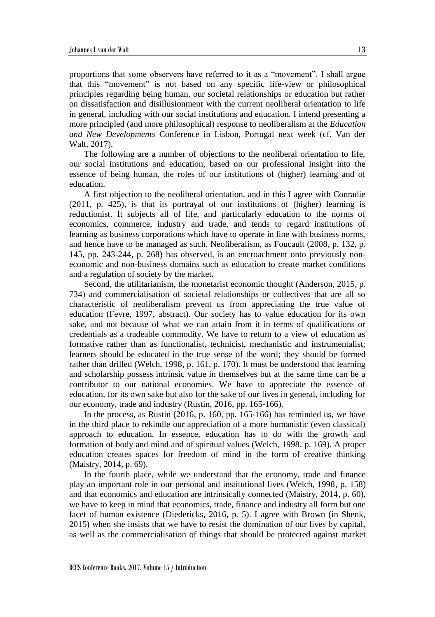proportions that some observers have referred to it as a "movement". I shall argue that this "movement" is not based on any specific life-view or philosophical principles regarding being human, our societal relationships or education but rather on dissatisfaction and disillusionment with the current neoliberal orientation to life in general, including with our social institutions and education. I intend presenting a more principled (and more philosophical) response to neoliberalism at the *Education and New Developments* Conference in Lisbon, Portugal next week (cf. Van der Walt, 2017).

The following are a number of objections to the neoliberal orientation to life, our social institutions and education, based on our professional insight into the essence of being human, the roles of our institutions of (higher) learning and of education.

A first objection to the neoliberal orientation, and in this I agree with Conradie (2011, p. 425), is that its portrayal of our institutions of (higher) learning is reductionist. It subjects all of life, and particularly education to the norms of economics, commerce, industry and trade, and tends to regard institutions of learning as business corporations which have to operate in line with business norms, and hence have to be managed as such. Neoliberalism, as Foucault (2008, p. 132, p. 145, pp. 243-244, p. 268) has observed, is an encroachment onto previously noneconomic and non-business domains such as education to create market conditions and a regulation of society by the market.

Second, the utilitarianism, the monetarist economic thought (Anderson, 2015, p. 734) and commercialisation of societal relationships or collectives that are all so characteristic of neoliberalism prevent us from appreciating the true value of education (Fevre, 1997, abstract). Our society has to value education for its own sake, and not because of what we can attain from it in terms of qualifications or credentials as a tradeable commodity. We have to return to a view of education as formative rather than as functionalist, technicist, mechanistic and instrumentalist; learners should be educated in the true sense of the word; they should be formed rather than drilled (Welch, 1998, p. 161, p. 170). It must be understood that learning and scholarship possess intrinsic value in themselves but at the same time can be a contributor to our national economies. We have to appreciate the essence of education, for its own sake but also for the sake of our lives in general, including for our economy, trade and industry (Rustin, 2016, pp. 165-166).

In the process, as Rustin (2016, p. 160, pp. 165-166) has reminded us, we have in the third place to rekindle our appreciation of a more humanistic (even classical) approach to education. In essence, education has to do with the growth and formation of body and mind and of spiritual values (Welch, 1998, p. 169). A proper education creates spaces for freedom of mind in the form of creative thinking (Maistry, 2014, p. 69).

In the fourth place, while we understand that the economy, trade and finance play an important role in our personal and institutional lives (Welch, 1998, p. 158) and that economics and education are intrinsically connected (Maistry, 2014, p. 60), we have to keep in mind that economics, trade, finance and industry all form but one facet of human existence (Diedericks, 2016, p. 5). I agree with Brown (in Shenk, 2015) when she insists that we have to resist the domination of our lives by capital, as well as the commercialisation of things that should be protected against market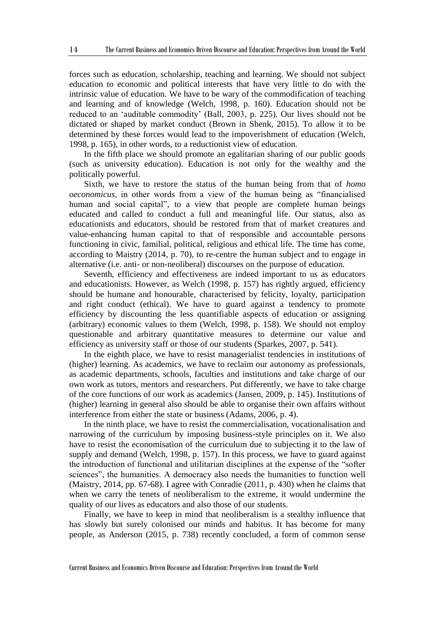forces such as education, scholarship, teaching and learning. We should not subject education to economic and political interests that have very little to do with the intrinsic value of education. We have to be wary of the commodification of teaching and learning and of knowledge (Welch, 1998, p. 160). Education should not be reduced to an 'auditable commodity' (Ball, 2003, p. 225). Our lives should not be dictated or shaped by market conduct (Brown in Shenk, 2015). To allow it to be determined by these forces would lead to the impoverishment of education (Welch, 1998, p. 165), in other words, to a reductionist view of education.

In the fifth place we should promote an egalitarian sharing of our public goods (such as university education). Education is not only for the wealthy and the politically powerful.

Sixth, we have to restore the status of the human being from that of *homo oeconomicus*, in other words from a view of the human being as "financialised human and social capital", to a view that people are complete human beings educated and called to conduct a full and meaningful life. Our status, also as educationists and educators, should be restored from that of market creatures and value-enhancing human capital to that of responsible and accountable persons functioning in civic, familial, political, religious and ethical life. The time has come, according to Maistry (2014, p. 70), to re-centre the human subject and to engage in alternative (i.e. anti- or non-neoliberal) discourses on the purpose of education.

Seventh, efficiency and effectiveness are indeed important to us as educators and educationists. However, as Welch (1998, p. 157) has rightly argued, efficiency should be humane and honourable, characterised by felicity, loyalty, participation and right conduct (ethical). We have to guard against a tendency to promote efficiency by discounting the less quantifiable aspects of education or assigning (arbitrary) economic values to them (Welch, 1998, p. 158). We should not employ questionable and arbitrary quantitative measures to determine our value and efficiency as university staff or those of our students (Sparkes, 2007, p. 541).

In the eighth place, we have to resist managerialist tendencies in institutions of (higher) learning. As academics, we have to reclaim our autonomy as professionals, as academic departments, schools, faculties and institutions and take charge of our own work as tutors, mentors and researchers. Put differently, we have to take charge of the core functions of our work as academics (Jansen, 2009, p. 145). Institutions of (higher) learning in general also should be able to organise their own affairs without interference from either the state or business (Adams, 2006, p. 4).

In the ninth place, we have to resist the commercialisation, vocationalisation and narrowing of the curriculum by imposing business-style principles on it. We also have to resist the economisation of the curriculum due to subjecting it to the law of supply and demand (Welch, 1998, p. 157). In this process, we have to guard against the introduction of functional and utilitarian disciplines at the expense of the "softer sciences", the humanities. A democracy also needs the humanities to function well (Maistry, 2014, pp. 67-68). I agree with Conradie (2011, p. 430) when he claims that when we carry the tenets of neoliberalism to the extreme, it would undermine the quality of our lives as educators and also those of our students.

Finally, we have to keep in mind that neoliberalism is a stealthy influence that has slowly but surely colonised our minds and habitus. It has become for many people, as Anderson (2015, p. 738) recently concluded, a form of common sense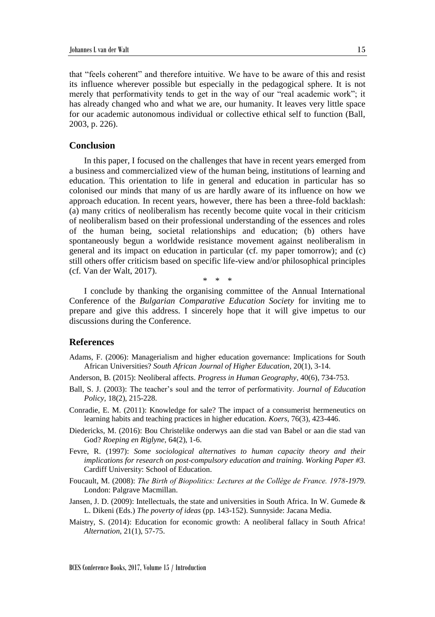that "feels coherent" and therefore intuitive. We have to be aware of this and resist its influence wherever possible but especially in the pedagogical sphere. It is not merely that performativity tends to get in the way of our "real academic work"; it has already changed who and what we are, our humanity. It leaves very little space for our academic autonomous individual or collective ethical self to function (Ball, 2003, p. 226).

#### **Conclusion**

In this paper, I focused on the challenges that have in recent years emerged from a business and commercialized view of the human being, institutions of learning and education. This orientation to life in general and education in particular has so colonised our minds that many of us are hardly aware of its influence on how we approach education. In recent years, however, there has been a three-fold backlash: (a) many critics of neoliberalism has recently become quite vocal in their criticism of neoliberalism based on their professional understanding of the essences and roles of the human being, societal relationships and education; (b) others have spontaneously begun a worldwide resistance movement against neoliberalism in general and its impact on education in particular (cf. my paper tomorrow); and (c) still others offer criticism based on specific life-view and/or philosophical principles (cf. Van der Walt, 2017).

\* \* \*

I conclude by thanking the organising committee of the Annual International Conference of the *Bulgarian Comparative Education Society* for inviting me to prepare and give this address. I sincerely hope that it will give impetus to our discussions during the Conference.

### **References**

- Adams, F. (2006): Managerialism and higher education governance: Implications for South African Universities? *South African Journal of Higher Education*, 20(1), 3-14.
- Anderson, B. (2015): Neoliberal affects. *Progress in Human Geography*, 40(6), 734-753.
- Ball, S. J. (2003): The teacher's soul and the terror of performativity. *Journal of Education Policy*, 18(2), 215-228.
- Conradie, E. M. (2011): Knowledge for sale? The impact of a consumerist hermeneutics on learning habits and teaching practices in higher education. *Koers*, 76(3), 423-446.
- Diedericks, M. (2016): Bou Christelike onderwys aan die stad van Babel or aan die stad van God? *Roeping en Riglyne*, 64(2), 1-6.
- Fevre, R. (1997): *Some sociological alternatives to human capacity theory and their implications for research on post-compulsory education and training. Working Paper #3.* Cardiff University: School of Education.
- Foucault, M. (2008): *The Birth of Biopolitics: Lectures at the Collège de France. 1978-1979.*  London: Palgrave Macmillan.
- Jansen, J. D. (2009): Intellectuals, the state and universities in South Africa. In W. Gumede & L. Dikeni (Eds.) *The poverty of ideas* (pp. 143-152). Sunnyside: Jacana Media.
- Maistry, S. (2014): Education for economic growth: A neoliberal fallacy in South Africa! *Alternation*, 21(1), 57-75.